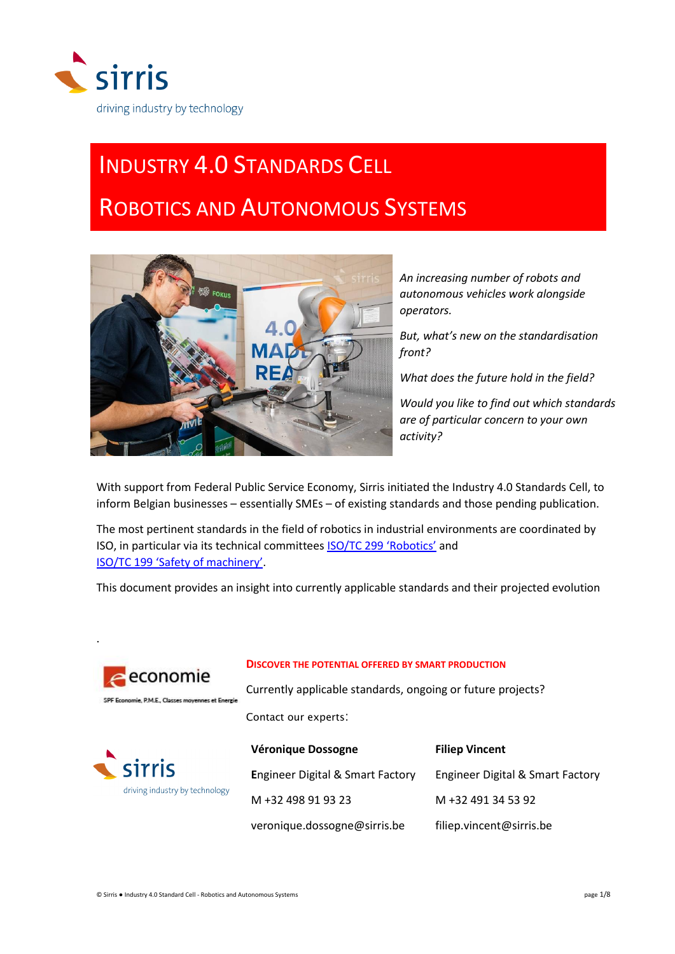

# INDUSTRY 4.0 STANDARDS CELL

# ROBOTICS AND AUTONOMOUS SYSTEMS



*An increasing number of robots and autonomous vehicles work alongside operators.* 

*But, what's new on the standardisation front?* 

*What does the future hold in the field?* 

*Would you like to find out which standards are of particular concern to your own activity?*

With support from Federal Public Service Economy, Sirris initiated the Industry 4.0 Standards Cell, to inform Belgian businesses – essentially SMEs – of existing standards and those pending publication.

The most pertinent standards in the field of robotics in industrial environments are coordinated by ISO, in particular via its technical committees **[ISO/TC 299 'Robotics'](https://www.iso.org/committee/5915511.html)** and [ISO/TC 199 'Safety of machinery'](https://www.iso.org/committee/54604.html).

This document provides an insight into currently applicable standards and their projected evolution

Contact our experts:

**DISCOVER THE POTENTIAL OFFERED BY SMART PRODUCTION**

Currently applicable standards, ongoing or future projects?



.



#### **Véronique Dossogne E**ngineer Digital & Smart Factory M +32 498 91 93 23 veronique.dossogne@sirris.be **Filiep Vincent** Engineer Digital & Smart Factory M +32 491 34 53 92 filiep.vincent@sirris.be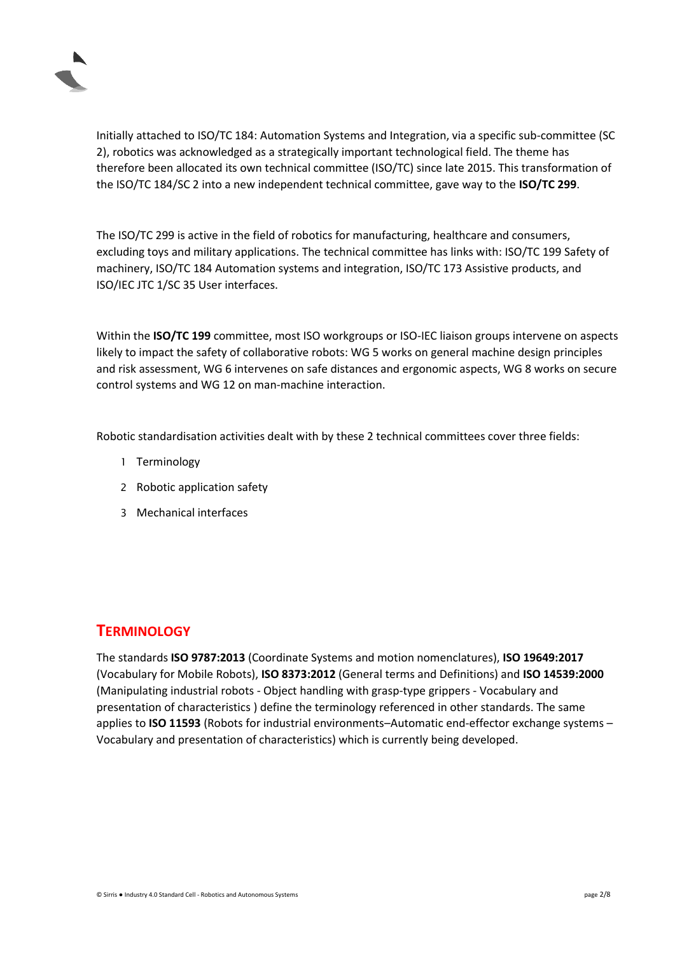

Initially attached to ISO/TC 184: Automation Systems and Integration, via a specific sub-committee (SC 2), robotics was acknowledged as a strategically important technological field. The theme has therefore been allocated its own technical committee (ISO/TC) since late 2015. This transformation of the ISO/TC 184/SC 2 into a new independent technical committee, gave way to the **ISO/TC 299**.

The ISO/TC 299 is active in the field of robotics for manufacturing, healthcare and consumers, excluding toys and military applications. The technical committee has links with: ISO/TC 199 Safety of machinery, ISO/TC 184 Automation systems and integration, ISO/TC 173 Assistive products, and ISO/IEC JTC 1/SC 35 User interfaces.

Within the **ISO/TC 199** committee, most ISO workgroups or ISO-IEC liaison groups intervene on aspects likely to impact the safety of collaborative robots: WG 5 works on general machine design principles and risk assessment, WG 6 intervenes on safe distances and ergonomic aspects, WG 8 works on secure control systems and WG 12 on man-machine interaction.

Robotic standardisation activities dealt with by these 2 technical committees cover three fields:

- 1 Terminology
- 2 Robotic application safety
- 3 Mechanical interfaces

#### **TERMINOLOGY**

The standards **ISO 9787:2013** (Coordinate Systems and motion nomenclatures), **ISO 19649:2017** (Vocabulary for Mobile Robots), **ISO 8373:2012** (General terms and Definitions) and **ISO 14539:2000** (Manipulating industrial robots - Object handling with grasp-type grippers - Vocabulary and presentation of characteristics ) define the terminology referenced in other standards. The same applies to **ISO 11593** (Robots for industrial environments–Automatic end-effector exchange systems – Vocabulary and presentation of characteristics) which is currently being developed.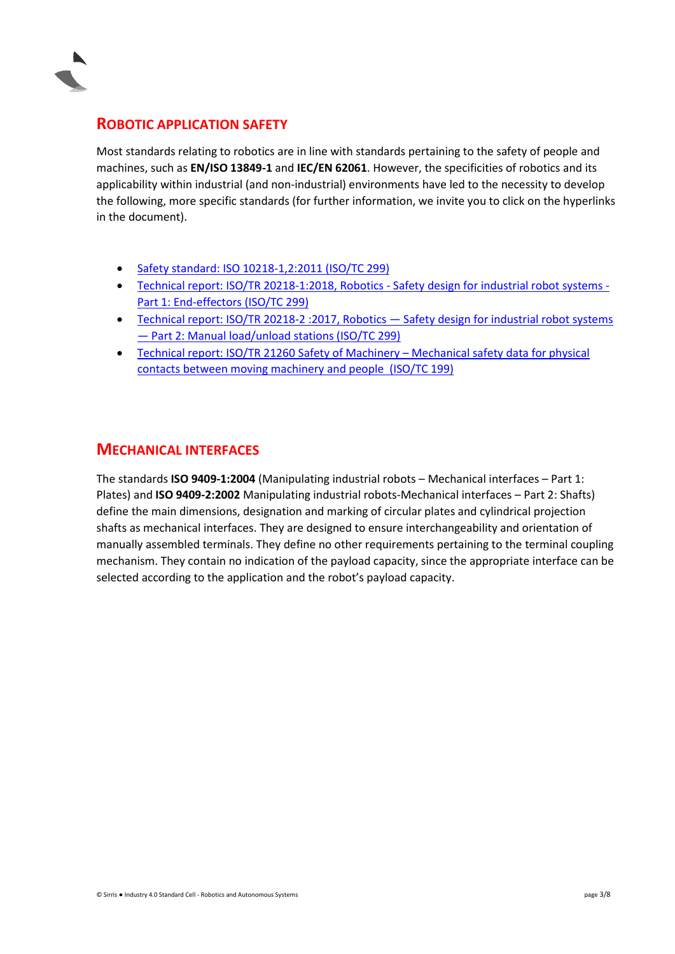

#### <span id="page-2-0"></span>**ROBOTIC APPLICATION SAFETY**

Most standards relating to robotics are in line with standards pertaining to the safety of people and machines, such as **EN/ISO 13849-1** and **IEC/EN 62061**. However, the specificities of robotics and its applicability within industrial (and non-industrial) environments have led to the necessity to develop the following, more specific standards (for further information, we invite you to click on the hyperlinks in the document).

- [Safety standard: ISO 10218-1,2:2011 \(ISO/TC 299\)](#page-3-0)
- [Technical report: ISO/TR 20218-1:2018, Robotics -](#page-5-0) Safety design for industrial robot systems [Part 1: End-effectors \(ISO/TC 299\)](#page-5-0)
- Technical report: ISO/TR 20218-2 :2017, Robotics Safety design for industrial robot systems — [Part 2: Manual load/unload stations \(ISO/TC 299\)](#page-6-0)
- [Technical report: ISO/TR 21260 Safety of Machinery](#page-7-0)  Mechanical safety data for physical [contacts between moving machinery and people \(ISO/TC 199\)](#page-7-0)

#### **MECHANICAL INTERFACES**

The standards **ISO 9409-1:2004** (Manipulating industrial robots – Mechanical interfaces – Part 1: Plates) and **ISO 9409-2:2002** Manipulating industrial robots-Mechanical interfaces – Part 2: Shafts) define the main dimensions, designation and marking of circular plates and cylindrical projection shafts as mechanical interfaces. They are designed to ensure interchangeability and orientation of manually assembled terminals. They define no other requirements pertaining to the terminal coupling mechanism. They contain no indication of the payload capacity, since the appropriate interface can be selected according to the application and the robot's payload capacity.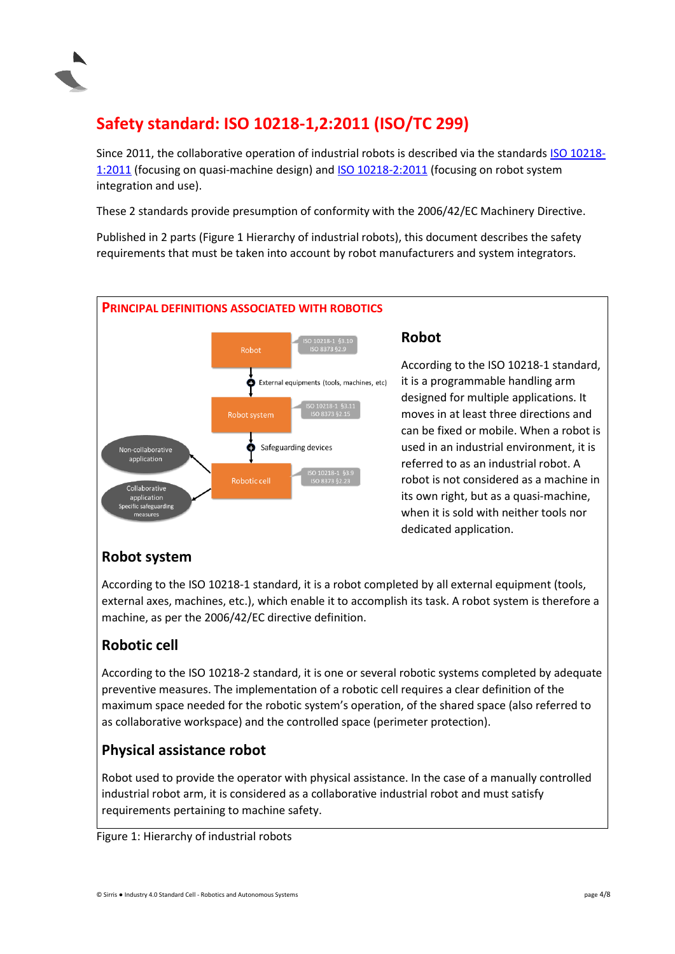

## <span id="page-3-0"></span>**Safety standard: ISO 10218-1,2:2011 (ISO/TC 299)**

Since 2011, the collaborative operation of industrial robots is described via the standards [ISO 10218-](https://committee.iso.org/sites/tc299/home/projects/published/iso-10218-12011.html) [1:2011](https://committee.iso.org/sites/tc299/home/projects/published/iso-10218-12011.html) (focusing on quasi-machine design) an[d ISO 10218-2:2011](https://committee.iso.org/sites/tc299/home/projects/published/iso-10218-22011.html) (focusing on robot system integration and use).

These 2 standards provide presumption of conformity with the 2006/42/EC Machinery Directive.

Published in 2 parts (Figure 1 Hierarchy of industrial robots), this document describes the safety requirements that must be taken into account by robot manufacturers and system integrators.



#### **Robot**

According to the ISO 10218-1 standard, it is a programmable handling arm designed for multiple applications. It moves in at least three directions and can be fixed or mobile. When a robot is used in an industrial environment, it is referred to as an industrial robot. A robot is not considered as a machine in its own right, but as a quasi-machine, when it is sold with neither tools nor dedicated application.

## **Robot system**

According to the ISO 10218-1 standard, it is a robot completed by all external equipment (tools, external axes, machines, etc.), which enable it to accomplish its task. A robot system is therefore a machine, as per the 2006/42/EC directive definition.

## **Robotic cell**

According to the ISO 10218-2 standard, it is one or several robotic systems completed by adequate preventive measures. The implementation of a robotic cell requires a clear definition of the maximum space needed for the robotic system's operation, of the shared space (also referred to as collaborative workspace) and the controlled space (perimeter protection).

#### **Physical assistance robot**

Robot used to provide the operator with physical assistance. In the case of a manually controlled industrial robot arm, it is considered as a collaborative industrial robot and must satisfy requirements pertaining to machine safety.

Figure 1: Hierarchy of industrial robots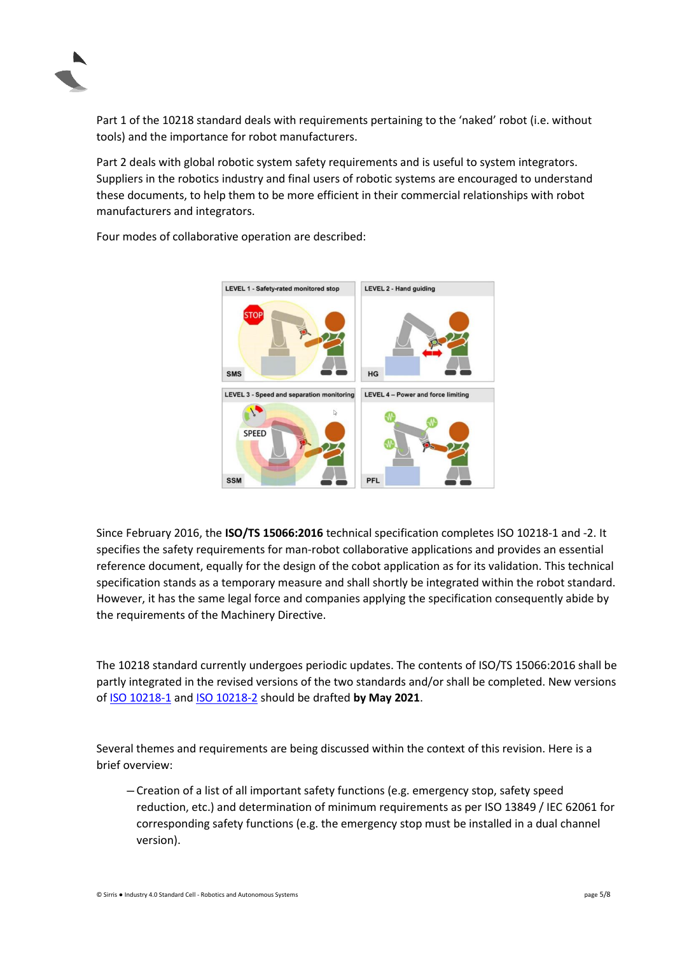

Part 1 of the 10218 standard deals with requirements pertaining to the 'naked' robot (i.e. without tools) and the importance for robot manufacturers.

Part 2 deals with global robotic system safety requirements and is useful to system integrators. Suppliers in the robotics industry and final users of robotic systems are encouraged to understand these documents, to help them to be more efficient in their commercial relationships with robot manufacturers and integrators.

> LEVEL 1 - Safety-rated monitored stop LEVEL 2 - Hand guiding **SMS HG** LEVEL 3 - Speed and separation monitoring LEVEL 4 - Power and force limiting N **SPEED SSM** PFL

Four modes of collaborative operation are described:

Since February 2016, the **ISO/TS 15066:2016** technical specification completes ISO 10218-1 and -2. It specifies the safety requirements for man-robot collaborative applications and provides an essential reference document, equally for the design of the cobot application as for its validation. This technical specification stands as a temporary measure and shall shortly be integrated within the robot standard. However, it has the same legal force and companies applying the specification consequently abide by the requirements of the Machinery Directive.

The 10218 standard currently undergoes periodic updates. The contents of ISO/TS 15066:2016 shall be partly integrated in the revised versions of the two standards and/or shall be completed. New versions o[f ISO 10218-1](https://committee.iso.org/sites/tc299/home/projects/ongoing/iso-10218-1.html) and [ISO 10218-2](https://committee.iso.org/sites/tc299/home/projects/ongoing/iso-10218-2.html) should be drafted **by May 2021**.

Several themes and requirements are being discussed within the context of this revision. Here is a brief overview:

─ Creation of a list of all important safety functions (e.g. emergency stop, safety speed reduction, etc.) and determination of minimum requirements as per ISO 13849 / IEC 62061 for corresponding safety functions (e.g. the emergency stop must be installed in a dual channel version).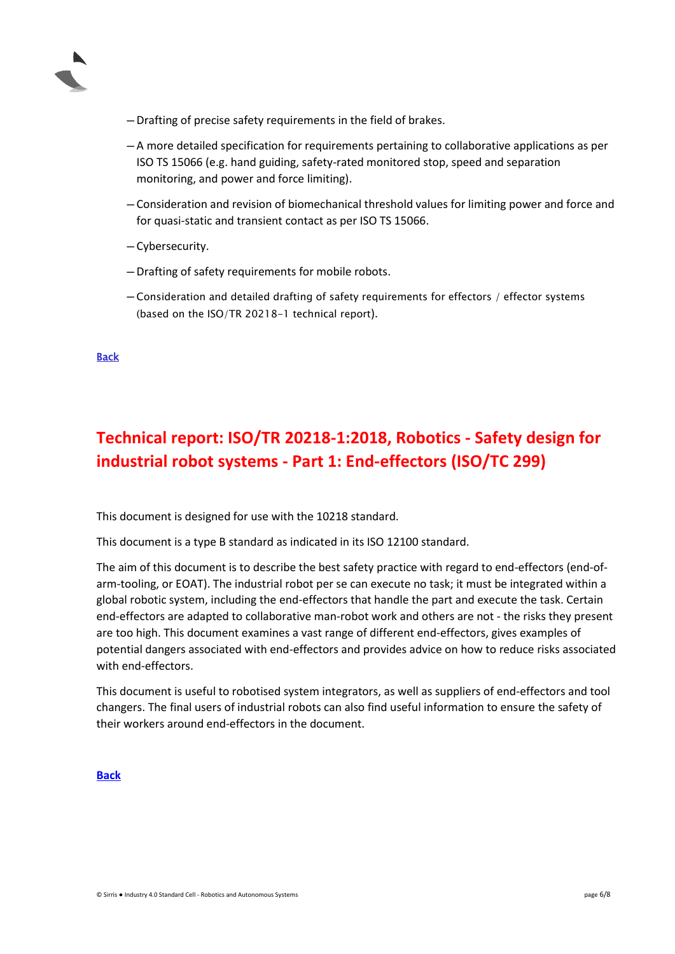

- ─ Drafting of precise safety requirements in the field of brakes.
- ─ A more detailed specification for requirements pertaining to collaborative applications as per ISO TS 15066 (e.g. hand guiding, safety-rated monitored stop, speed and separation monitoring, and power and force limiting).
- ─ Consideration and revision of biomechanical threshold values for limiting power and force and for quasi-static and transient contact as per ISO TS 15066.
- ─ Cybersecurity.
- ─ Drafting of safety requirements for mobile robots.
- ─ Consideration and detailed drafting of safety requirements for effectors / effector systems (based on the ISO/TR 20218-1 technical report).

[Back](#page-2-0)

## <span id="page-5-0"></span>**Technical report: ISO/TR 20218-1:2018, Robotics - Safety design for industrial robot systems - Part 1: End-effectors (ISO/TC 299)**

This document is designed for use with the 10218 standard.

This document is a type B standard as indicated in its ISO 12100 standard.

The aim of this document is to describe the best safety practice with regard to end-effectors (end-ofarm-tooling, or EOAT). The industrial robot per se can execute no task; it must be integrated within a global robotic system, including the end-effectors that handle the part and execute the task. Certain end-effectors are adapted to collaborative man-robot work and others are not - the risks they present are too high. This document examines a vast range of different end-effectors, gives examples of potential dangers associated with end-effectors and provides advice on how to reduce risks associated with end-effectors

This document is useful to robotised system integrators, as well as suppliers of end-effectors and tool changers. The final users of industrial robots can also find useful information to ensure the safety of their workers around end-effectors in the document.

#### **[Back](#page-2-0)**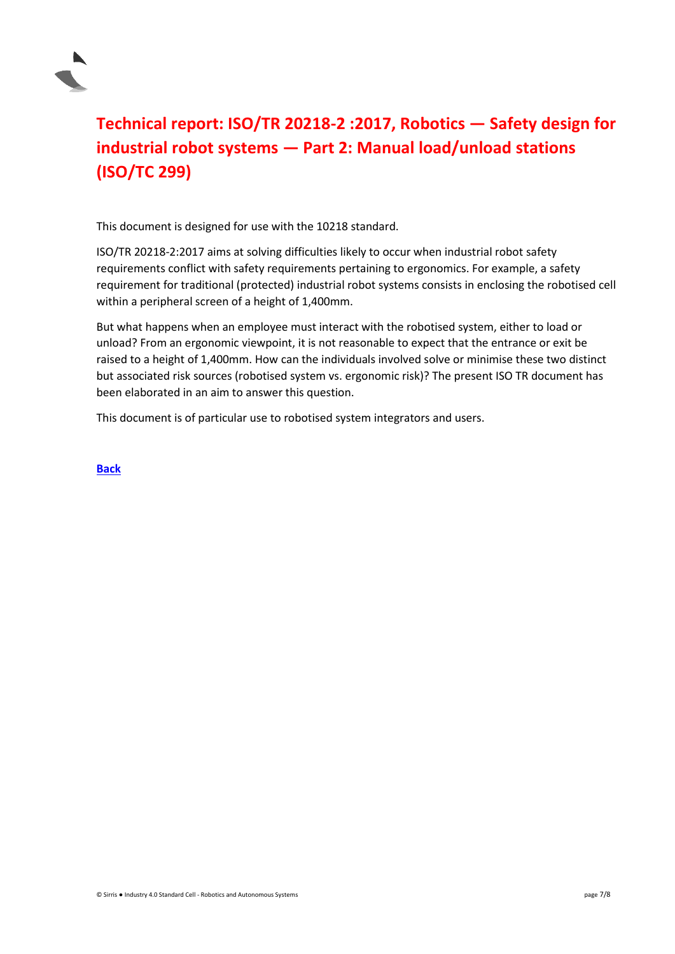

## <span id="page-6-0"></span>**Technical report: ISO/TR 20218-2 :2017, Robotics — Safety design for industrial robot systems — Part 2: Manual load/unload stations (ISO/TC 299)**

This document is designed for use with the 10218 standard.

ISO/TR 20218-2:2017 aims at solving difficulties likely to occur when industrial robot safety requirements conflict with safety requirements pertaining to ergonomics. For example, a safety requirement for traditional (protected) industrial robot systems consists in enclosing the robotised cell within a peripheral screen of a height of 1,400mm.

But what happens when an employee must interact with the robotised system, either to load or unload? From an ergonomic viewpoint, it is not reasonable to expect that the entrance or exit be raised to a height of 1,400mm. How can the individuals involved solve or minimise these two distinct but associated risk sources (robotised system vs. ergonomic risk)? The present ISO TR document has been elaborated in an aim to answer this question.

This document is of particular use to robotised system integrators and users.

**[Back](#page-2-0)**